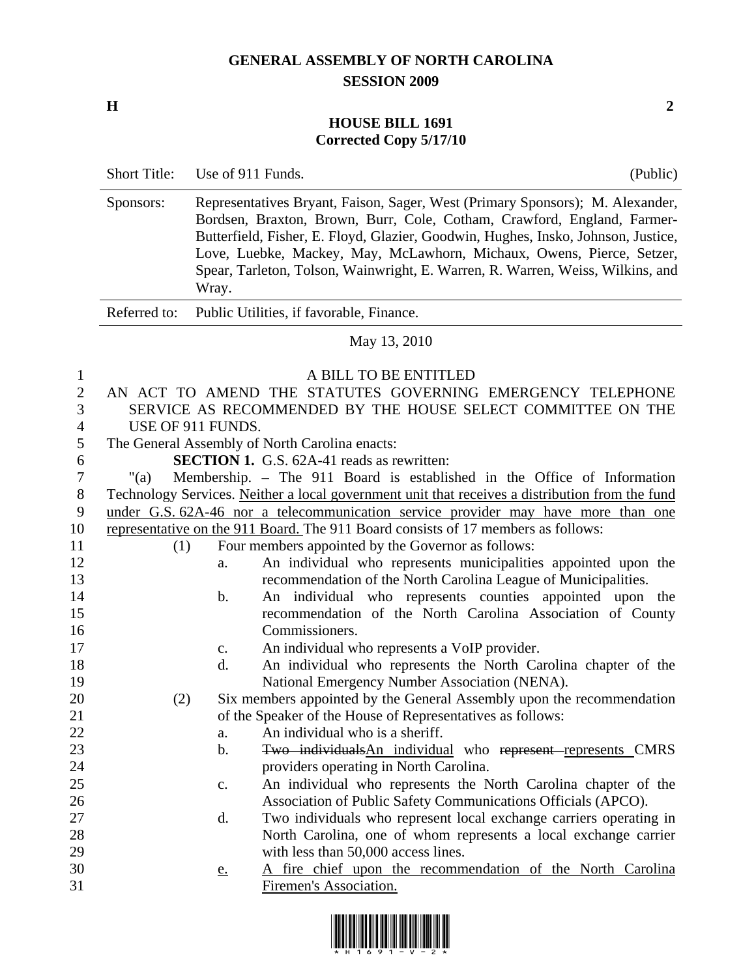## **GENERAL ASSEMBLY OF NORTH CAROLINA SESSION 2009**

**H** 2

## **HOUSE BILL 1691 Corrected Copy 5/17/10**

|                                                 | <b>Short Title:</b>                                                               | Use of 911 Funds. |                                                                                                                                                                                                                                                                                                                                                                                                          | (Public) |
|-------------------------------------------------|-----------------------------------------------------------------------------------|-------------------|----------------------------------------------------------------------------------------------------------------------------------------------------------------------------------------------------------------------------------------------------------------------------------------------------------------------------------------------------------------------------------------------------------|----------|
|                                                 | Sponsors:                                                                         | Wray.             | Representatives Bryant, Faison, Sager, West (Primary Sponsors); M. Alexander,<br>Bordsen, Braxton, Brown, Burr, Cole, Cotham, Crawford, England, Farmer-<br>Butterfield, Fisher, E. Floyd, Glazier, Goodwin, Hughes, Insko, Johnson, Justice,<br>Love, Luebke, Mackey, May, McLawhorn, Michaux, Owens, Pierce, Setzer,<br>Spear, Tarleton, Tolson, Wainwright, E. Warren, R. Warren, Weiss, Wilkins, and |          |
|                                                 | Referred to:                                                                      |                   | Public Utilities, if favorable, Finance.                                                                                                                                                                                                                                                                                                                                                                 |          |
|                                                 |                                                                                   |                   | May 13, 2010                                                                                                                                                                                                                                                                                                                                                                                             |          |
| 1<br>$\overline{c}$<br>3<br>$\overline{4}$<br>5 |                                                                                   | USE OF 911 FUNDS. | A BILL TO BE ENTITLED<br>AN ACT TO AMEND THE STATUTES GOVERNING EMERGENCY TELEPHONE<br>SERVICE AS RECOMMENDED BY THE HOUSE SELECT COMMITTEE ON THE<br>The General Assembly of North Carolina enacts:                                                                                                                                                                                                     |          |
| 6                                               |                                                                                   |                   | <b>SECTION 1.</b> G.S. 62A-41 reads as rewritten:                                                                                                                                                                                                                                                                                                                                                        |          |
| 7                                               | " $(a)$                                                                           |                   | Membership. - The 911 Board is established in the Office of Information                                                                                                                                                                                                                                                                                                                                  |          |
| $8\,$                                           |                                                                                   |                   | Technology Services. Neither a local government unit that receives a distribution from the fund                                                                                                                                                                                                                                                                                                          |          |
| 9                                               |                                                                                   |                   | under G.S. 62A-46 nor a telecommunication service provider may have more than one                                                                                                                                                                                                                                                                                                                        |          |
| 10                                              | representative on the 911 Board. The 911 Board consists of 17 members as follows: |                   |                                                                                                                                                                                                                                                                                                                                                                                                          |          |
| 11                                              | (1)                                                                               |                   | Four members appointed by the Governor as follows:                                                                                                                                                                                                                                                                                                                                                       |          |
| 12                                              |                                                                                   | a.                | An individual who represents municipalities appointed upon the                                                                                                                                                                                                                                                                                                                                           |          |
| 13                                              |                                                                                   |                   | recommendation of the North Carolina League of Municipalities.                                                                                                                                                                                                                                                                                                                                           |          |
| 14                                              |                                                                                   | $\mathbf b$ .     | An individual who represents counties appointed upon the                                                                                                                                                                                                                                                                                                                                                 |          |
| 15                                              |                                                                                   |                   | recommendation of the North Carolina Association of County                                                                                                                                                                                                                                                                                                                                               |          |
| 16                                              |                                                                                   |                   | Commissioners.                                                                                                                                                                                                                                                                                                                                                                                           |          |
| 17                                              |                                                                                   | c.                | An individual who represents a VoIP provider.                                                                                                                                                                                                                                                                                                                                                            |          |
| 18                                              |                                                                                   | $\mathbf{d}$ .    | An individual who represents the North Carolina chapter of the                                                                                                                                                                                                                                                                                                                                           |          |
| 19                                              |                                                                                   |                   | National Emergency Number Association (NENA).                                                                                                                                                                                                                                                                                                                                                            |          |
| 20                                              | (2)                                                                               |                   | Six members appointed by the General Assembly upon the recommendation                                                                                                                                                                                                                                                                                                                                    |          |
| 21                                              |                                                                                   |                   | of the Speaker of the House of Representatives as follows:                                                                                                                                                                                                                                                                                                                                               |          |
| 22                                              |                                                                                   | a.                | An individual who is a sheriff.                                                                                                                                                                                                                                                                                                                                                                          |          |
| 23                                              |                                                                                   | b.                | Two individualsAn individual who represent represents CMRS                                                                                                                                                                                                                                                                                                                                               |          |
| 24                                              |                                                                                   |                   | providers operating in North Carolina.                                                                                                                                                                                                                                                                                                                                                                   |          |
| 25                                              |                                                                                   | $\mathbf{c}$ .    | An individual who represents the North Carolina chapter of the                                                                                                                                                                                                                                                                                                                                           |          |
| 26                                              |                                                                                   |                   | Association of Public Safety Communications Officials (APCO).                                                                                                                                                                                                                                                                                                                                            |          |
| 27                                              |                                                                                   | d.                | Two individuals who represent local exchange carriers operating in                                                                                                                                                                                                                                                                                                                                       |          |
| 28                                              |                                                                                   |                   | North Carolina, one of whom represents a local exchange carrier                                                                                                                                                                                                                                                                                                                                          |          |
| 29                                              |                                                                                   |                   | with less than 50,000 access lines.                                                                                                                                                                                                                                                                                                                                                                      |          |
| 30                                              |                                                                                   | <u>e.</u>         | A fire chief upon the recommendation of the North Carolina                                                                                                                                                                                                                                                                                                                                               |          |
| 31                                              |                                                                                   |                   | Firemen's Association.                                                                                                                                                                                                                                                                                                                                                                                   |          |

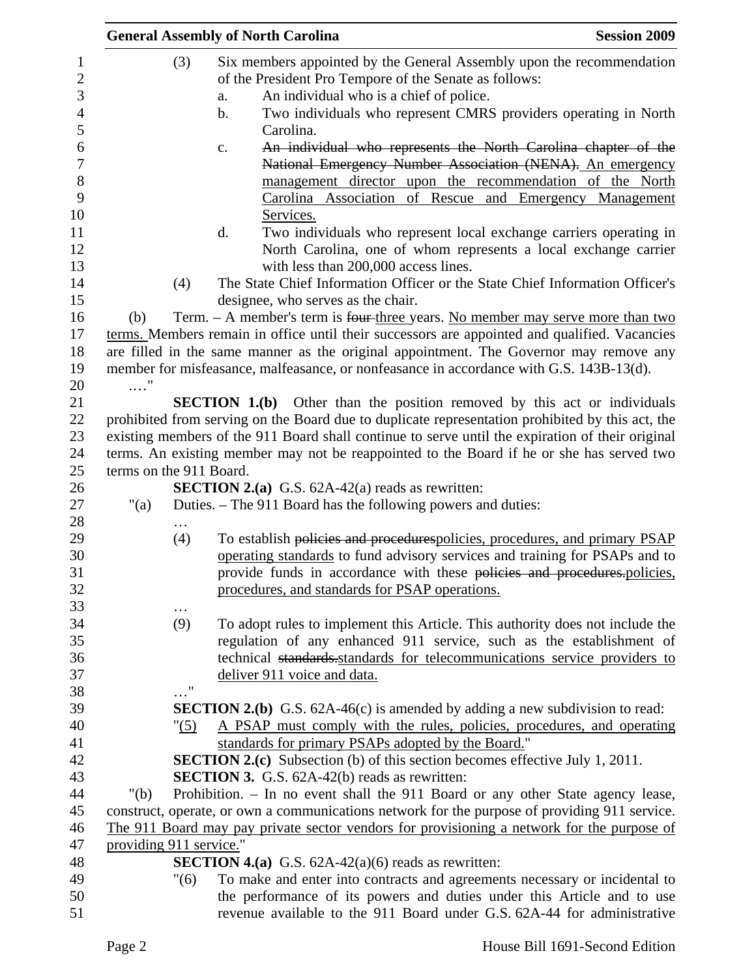|                         |         | <b>General Assembly of North Carolina</b>                                                        | <b>Session 2009</b> |
|-------------------------|---------|--------------------------------------------------------------------------------------------------|---------------------|
|                         | (3)     | Six members appointed by the General Assembly upon the recommendation                            |                     |
|                         |         | of the President Pro Tempore of the Senate as follows:                                           |                     |
|                         |         | An individual who is a chief of police.<br>a.                                                    |                     |
|                         |         | Two individuals who represent CMRS providers operating in North<br>$\mathbf b$ .                 |                     |
|                         |         | Carolina.                                                                                        |                     |
|                         |         | An individual who represents the North Carolina chapter of the<br>c.                             |                     |
|                         |         | National Emergency Number Association (NENA). An emergency                                       |                     |
|                         |         | management director upon the recommendation of the North                                         |                     |
|                         |         | Carolina Association of Rescue and Emergency Management                                          |                     |
|                         |         | Services.                                                                                        |                     |
|                         |         | Two individuals who represent local exchange carriers operating in<br>d.                         |                     |
|                         |         | North Carolina, one of whom represents a local exchange carrier                                  |                     |
|                         |         | with less than 200,000 access lines.                                                             |                     |
|                         | (4)     | The State Chief Information Officer or the State Chief Information Officer's                     |                     |
|                         |         | designee, who serves as the chair.                                                               |                     |
| (b)                     |         | Term. - A member's term is four three years. No member may serve more than two                   |                     |
|                         |         | terms. Members remain in office until their successors are appointed and qualified. Vacancies    |                     |
|                         |         | are filled in the same manner as the original appointment. The Governor may remove any           |                     |
|                         |         | member for misfeasance, malfeasance, or nonfeasance in accordance with G.S. 143B-13(d).          |                     |
| $\ldots$ "              |         |                                                                                                  |                     |
|                         |         | <b>SECTION 1.(b)</b> Other than the position removed by this act or individuals                  |                     |
|                         |         | prohibited from serving on the Board due to duplicate representation prohibited by this act, the |                     |
|                         |         | existing members of the 911 Board shall continue to serve until the expiration of their original |                     |
|                         |         | terms. An existing member may not be reappointed to the Board if he or she has served two        |                     |
| terms on the 911 Board. |         | <b>SECTION 2.(a)</b> G.S. $62A-42(a)$ reads as rewritten:                                        |                     |
| "(a)                    |         | Duties. – The 911 Board has the following powers and duties:                                     |                     |
|                         |         |                                                                                                  |                     |
|                         | (4)     | To establish policies and procedurespolicies, procedures, and primary PSAP                       |                     |
|                         |         | operating standards to fund advisory services and training for PSAPs and to                      |                     |
|                         |         | provide funds in accordance with these policies and procedures.policies,                         |                     |
|                         |         | procedures, and standards for PSAP operations.                                                   |                     |
|                         |         |                                                                                                  |                     |
|                         | (9)     | To adopt rules to implement this Article. This authority does not include the                    |                     |
|                         |         | regulation of any enhanced 911 service, such as the establishment of                             |                     |
|                         |         | technical standards standards for telecommunications service providers to                        |                     |
|                         |         | deliver 911 voice and data.                                                                      |                     |
|                         | "       |                                                                                                  |                     |
|                         |         | <b>SECTION 2.(b)</b> G.S. $62A-46(c)$ is amended by adding a new subdivision to read:            |                     |
|                         | " $(5)$ | A PSAP must comply with the rules, policies, procedures, and operating                           |                     |
|                         |         | standards for primary PSAPs adopted by the Board."                                               |                     |
|                         |         | <b>SECTION 2.(c)</b> Subsection (b) of this section becomes effective July 1, 2011.              |                     |
|                         |         | <b>SECTION 3.</b> G.S. 62A-42(b) reads as rewritten:                                             |                     |
| " $(b)$                 |         | Prohibition. - In no event shall the 911 Board or any other State agency lease,                  |                     |
|                         |         | construct, operate, or own a communications network for the purpose of providing 911 service.    |                     |
|                         |         | The 911 Board may pay private sector vendors for provisioning a network for the purpose of       |                     |
| providing 911 service." |         |                                                                                                  |                     |
|                         |         | <b>SECTION 4.(a)</b> G.S. $62A-42(a)(6)$ reads as rewritten:                                     |                     |
|                         | "(6)    | To make and enter into contracts and agreements necessary or incidental to                       |                     |
|                         |         | the performance of its powers and duties under this Article and to use                           |                     |
|                         |         | revenue available to the 911 Board under G.S. 62A-44 for administrative                          |                     |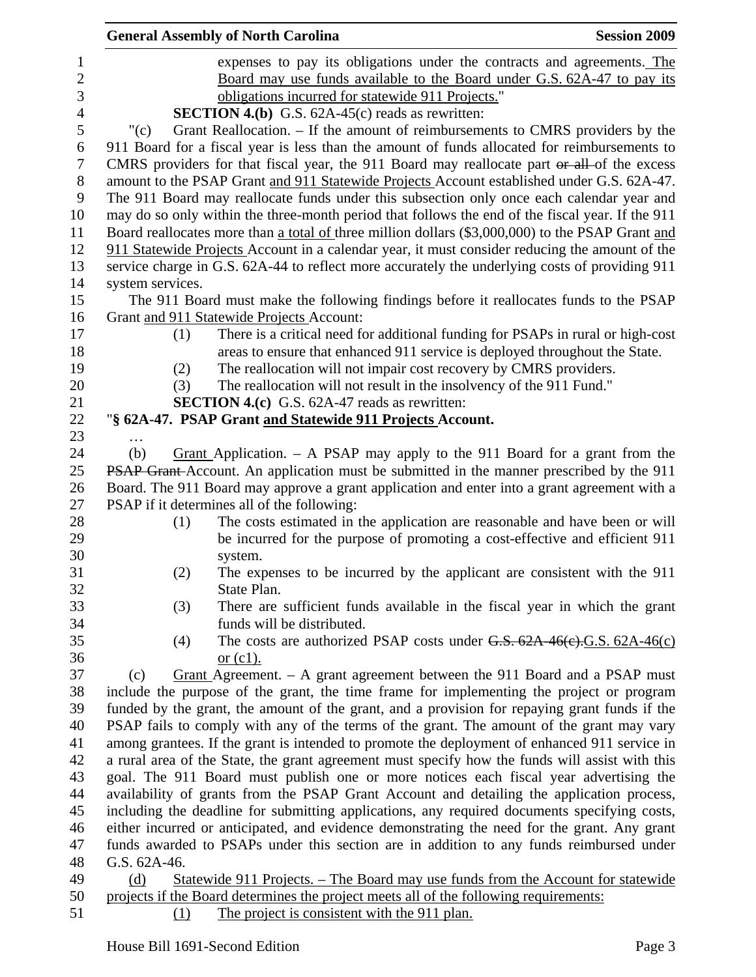|                  |                  | <b>General Assembly of North Carolina</b>                                                        | <b>Session 2009</b> |
|------------------|------------------|--------------------------------------------------------------------------------------------------|---------------------|
| 1                |                  | expenses to pay its obligations under the contracts and agreements. The                          |                     |
| $\overline{c}$   |                  | Board may use funds available to the Board under G.S. 62A-47 to pay its                          |                     |
| 3                |                  | obligations incurred for statewide 911 Projects."                                                |                     |
| $\overline{4}$   |                  | <b>SECTION 4.(b)</b> G.S. $62A-45(c)$ reads as rewritten:                                        |                     |
| 5                | " $(c)$          | Grant Reallocation. – If the amount of reimbursements to CMRS providers by the                   |                     |
| 6                |                  | 911 Board for a fiscal year is less than the amount of funds allocated for reimbursements to     |                     |
| $\tau$           |                  | CMRS providers for that fiscal year, the 911 Board may reallocate part or all of the excess      |                     |
| $8\,$            |                  | amount to the PSAP Grant and 911 Statewide Projects Account established under G.S. 62A-47.       |                     |
| $\boldsymbol{9}$ |                  | The 911 Board may reallocate funds under this subsection only once each calendar year and        |                     |
| 10               |                  | may do so only within the three-month period that follows the end of the fiscal year. If the 911 |                     |
| 11               |                  | Board reallocates more than a total of three million dollars (\$3,000,000) to the PSAP Grant and |                     |
| 12               |                  | 911 Statewide Projects Account in a calendar year, it must consider reducing the amount of the   |                     |
| 13               |                  | service charge in G.S. 62A-44 to reflect more accurately the underlying costs of providing 911   |                     |
| 14               | system services. |                                                                                                  |                     |
| 15               |                  | The 911 Board must make the following findings before it reallocates funds to the PSAP           |                     |
| 16               |                  | Grant and 911 Statewide Projects Account:                                                        |                     |
| 17               | (1)              | There is a critical need for additional funding for PSAPs in rural or high-cost                  |                     |
| 18               |                  | areas to ensure that enhanced 911 service is deployed throughout the State.                      |                     |
| 19               | (2)              | The reallocation will not impair cost recovery by CMRS providers.                                |                     |
| 20               | (3)              | The reallocation will not result in the insolvency of the 911 Fund."                             |                     |
| 21               |                  | <b>SECTION 4.(c)</b> G.S. 62A-47 reads as rewritten:                                             |                     |
| 22               |                  | "§ 62A-47. PSAP Grant and Statewide 911 Projects Account.                                        |                     |
| 23               |                  |                                                                                                  |                     |
| 24               | (b)              | <u>Grant</u> Application. $-$ A PSAP may apply to the 911 Board for a grant from the             |                     |
| 25               |                  | <b>PSAP Grant-Account.</b> An application must be submitted in the manner prescribed by the 911  |                     |
| 26               |                  | Board. The 911 Board may approve a grant application and enter into a grant agreement with a     |                     |
| 27               |                  | PSAP if it determines all of the following:                                                      |                     |
| 28               | (1)              | The costs estimated in the application are reasonable and have been or will                      |                     |
| 29               |                  | be incurred for the purpose of promoting a cost-effective and efficient 911                      |                     |
| 30               |                  | system.                                                                                          |                     |
| 31               | (2)              | The expenses to be incurred by the applicant are consistent with the 911                         |                     |
| 32               |                  | State Plan.                                                                                      |                     |
| 33               | (3)              | There are sufficient funds available in the fiscal year in which the grant                       |                     |
| 34<br>35         |                  | funds will be distributed.                                                                       |                     |
| 36               | (4)              | The costs are authorized PSAP costs under $G.S. 62A-46(c).G.S. 62A-46(c)$<br>or $(c1)$ .         |                     |
| 37               | (c)              | Grant Agreement. – A grant agreement between the 911 Board and a PSAP must                       |                     |
| 38               |                  | include the purpose of the grant, the time frame for implementing the project or program         |                     |
| 39               |                  | funded by the grant, the amount of the grant, and a provision for repaying grant funds if the    |                     |
| 40               |                  | PSAP fails to comply with any of the terms of the grant. The amount of the grant may vary        |                     |
| 41               |                  | among grantees. If the grant is intended to promote the deployment of enhanced 911 service in    |                     |
| 42               |                  | a rural area of the State, the grant agreement must specify how the funds will assist with this  |                     |
| 43               |                  | goal. The 911 Board must publish one or more notices each fiscal year advertising the            |                     |
| 44               |                  | availability of grants from the PSAP Grant Account and detailing the application process,        |                     |
| 45               |                  | including the deadline for submitting applications, any required documents specifying costs,     |                     |
| 46               |                  | either incurred or anticipated, and evidence demonstrating the need for the grant. Any grant     |                     |
| 47               |                  | funds awarded to PSAPs under this section are in addition to any funds reimbursed under          |                     |
| 48               | G.S. 62A-46.     |                                                                                                  |                     |
| 49               | (d)              | <u> Statewide 911 Projects. – The Board may use funds from the Account for statewide</u>         |                     |
| 50               |                  | projects if the Board determines the project meets all of the following requirements:            |                     |
| 51               | (1)              | The project is consistent with the 911 plan.                                                     |                     |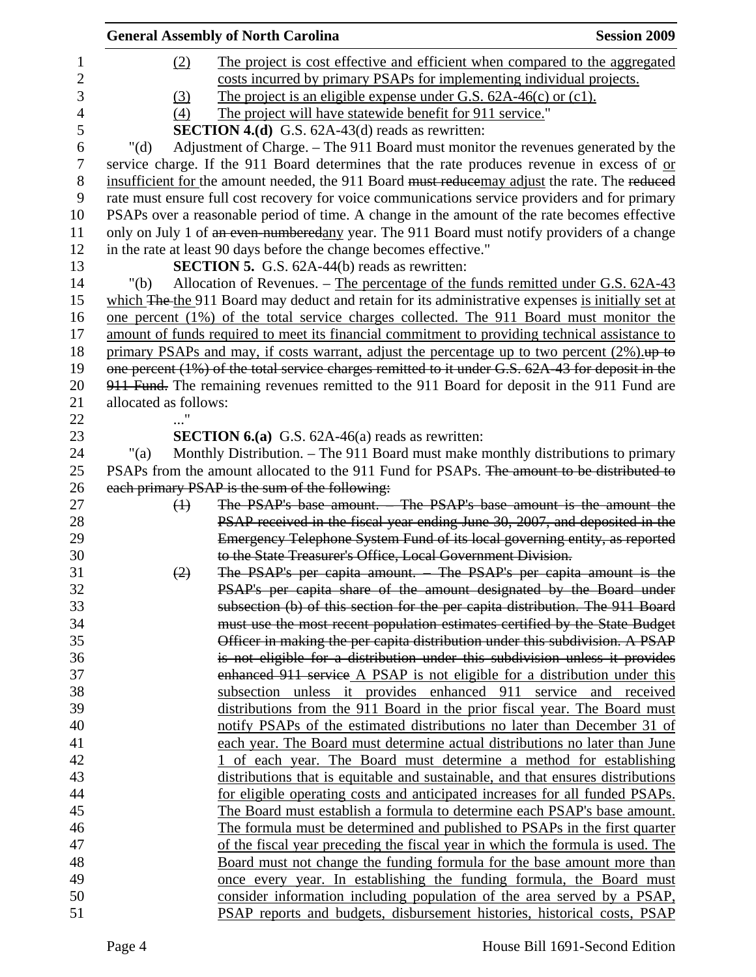|                  |                       | <b>General Assembly of North Carolina</b>                                                         | <b>Session 2009</b> |
|------------------|-----------------------|---------------------------------------------------------------------------------------------------|---------------------|
| $\mathbf{1}$     | (2)                   | The project is cost effective and efficient when compared to the aggregated                       |                     |
| $\mathbf{2}$     |                       | costs incurred by primary PSAPs for implementing individual projects.                             |                     |
| 3                | (3)                   | The project is an eligible expense under G.S. $62A-46(c)$ or $(c1)$ .                             |                     |
| $\overline{4}$   | (4)                   | The project will have statewide benefit for 911 service."                                         |                     |
| 5                |                       | <b>SECTION 4.(d)</b> G.S. 62A-43(d) reads as rewritten:                                           |                     |
| 6                | " $(d)$               | Adjustment of Charge. - The 911 Board must monitor the revenues generated by the                  |                     |
| $\boldsymbol{7}$ |                       | service charge. If the 911 Board determines that the rate produces revenue in excess of or        |                     |
| $8\,$            |                       | insufficient for the amount needed, the 911 Board must reducemay adjust the rate. The reduced     |                     |
| 9                |                       | rate must ensure full cost recovery for voice communications service providers and for primary    |                     |
| 10               |                       | PSAPs over a reasonable period of time. A change in the amount of the rate becomes effective      |                     |
| 11               |                       | only on July 1 of an even-numberedany year. The 911 Board must notify providers of a change       |                     |
| 12               |                       | in the rate at least 90 days before the change becomes effective."                                |                     |
| 13               |                       | <b>SECTION 5.</b> G.S. 62A-44(b) reads as rewritten:                                              |                     |
| 14               | "(b)                  | Allocation of Revenues. – The percentage of the funds remitted under G.S. 62A-43                  |                     |
| 15               |                       | which The the 911 Board may deduct and retain for its administrative expenses is initially set at |                     |
| 16               |                       | one percent (1%) of the total service charges collected. The 911 Board must monitor the           |                     |
| 17               |                       | amount of funds required to meet its financial commitment to providing technical assistance to    |                     |
| 18               |                       | primary PSAPs and may, if costs warrant, adjust the percentage up to two percent $(2\%)$ .        |                     |
| 19               |                       | one percent (1%) of the total service charges remitted to it under G.S. 62A 43 for deposit in the |                     |
| 20               |                       | 911 Fund. The remaining revenues remitted to the 911 Board for deposit in the 911 Fund are        |                     |
| 21               | allocated as follows: |                                                                                                   |                     |
| 22               |                       |                                                                                                   |                     |
| 23               |                       | <b>SECTION 6.(a)</b> G.S. $62A-46(a)$ reads as rewritten:                                         |                     |
| 24               | "(a)                  | Monthly Distribution. - The 911 Board must make monthly distributions to primary                  |                     |
| 25               |                       | PSAPs from the amount allocated to the 911 Fund for PSAPs. The amount to be distributed to        |                     |
| 26               |                       | each primary PSAP is the sum of the following:                                                    |                     |
| 27               | $\leftrightarrow$     | The PSAP's base amount. The PSAP's base amount is the amount the                                  |                     |
| 28               |                       | PSAP received in the fiscal year ending June 30, 2007, and deposited in the                       |                     |
| 29               |                       | Emergency Telephone System Fund of its local governing entity, as reported                        |                     |
| 30               |                       | to the State Treasurer's Office, Local Government Division.                                       |                     |
| 31               | (2)                   | The PSAP's per capita amount. The PSAP's per capita amount is the                                 |                     |
| 32               |                       | PSAP's per capita share of the amount designated by the Board under                               |                     |
| 33               |                       | subsection (b) of this section for the per capita distribution. The 911 Board                     |                     |
| 34               |                       | must use the most recent population estimates certified by the State Budget                       |                     |
| 35               |                       | Officer in making the per capita distribution under this subdivision. A PSAP                      |                     |
| 36               |                       | is not eligible for a distribution under this subdivision unless it provides                      |                     |
| 37               |                       | enhanced 911 service A PSAP is not eligible for a distribution under this                         |                     |
| 38               |                       | subsection unless it provides enhanced 911 service and received                                   |                     |
| 39               |                       | distributions from the 911 Board in the prior fiscal year. The Board must                         |                     |
| 40               |                       | notify PSAPs of the estimated distributions no later than December 31 of                          |                     |
| 41               |                       | each year. The Board must determine actual distributions no later than June                       |                     |
| 42               |                       | of each year. The Board must determine a method for establishing                                  |                     |
| 43               |                       | distributions that is equitable and sustainable, and that ensures distributions                   |                     |
| 44               |                       | for eligible operating costs and anticipated increases for all funded PSAPs.                      |                     |
| 45               |                       | The Board must establish a formula to determine each PSAP's base amount.                          |                     |
| 46               |                       | The formula must be determined and published to PSAPs in the first quarter                        |                     |
| 47               |                       | of the fiscal year preceding the fiscal year in which the formula is used. The                    |                     |
| 48               |                       | <u>Board must not change the funding formula for the base amount more than</u>                    |                     |
| 49               |                       | <u>once every year. In establishing the funding formula, the Board must</u>                       |                     |
| 50               |                       | consider information including population of the area served by a PSAP,                           |                     |
| 51               |                       | PSAP reports and budgets, disbursement histories, historical costs, PSAP                          |                     |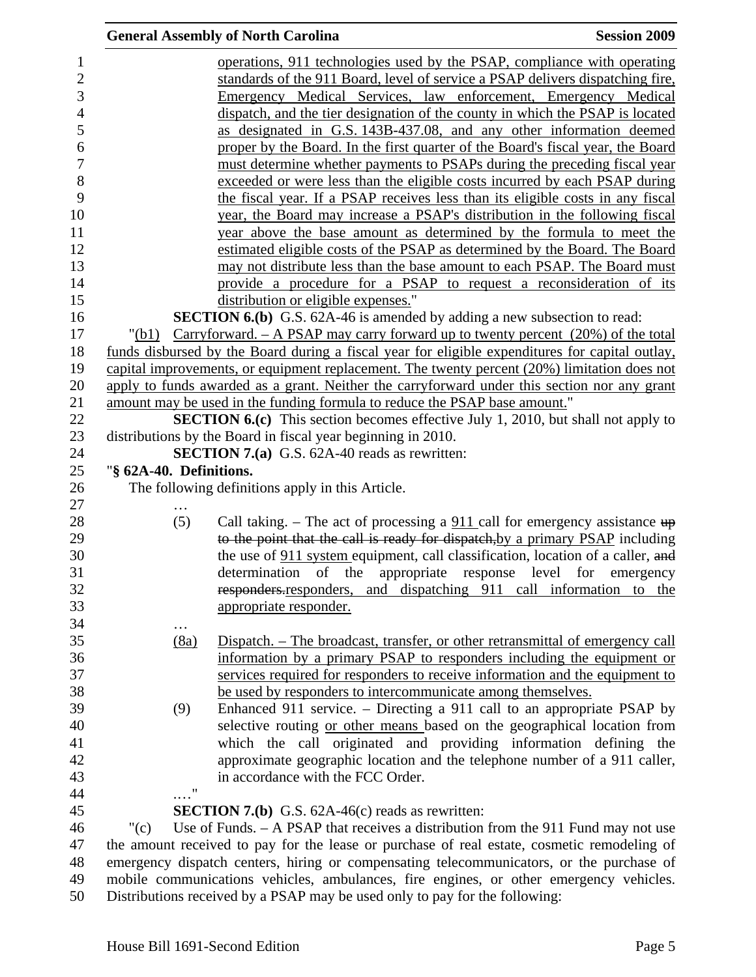|                         | <b>General Assembly of North Carolina</b>                                                                                                                                               | <b>Session 2009</b> |
|-------------------------|-----------------------------------------------------------------------------------------------------------------------------------------------------------------------------------------|---------------------|
|                         | operations, 911 technologies used by the PSAP, compliance with operating                                                                                                                |                     |
|                         | standards of the 911 Board, level of service a PSAP delivers dispatching fire,                                                                                                          |                     |
|                         | Emergency Medical Services, law enforcement, Emergency Medical                                                                                                                          |                     |
|                         | dispatch, and the tier designation of the county in which the PSAP is located                                                                                                           |                     |
|                         | as designated in G.S. 143B-437.08, and any other information deemed                                                                                                                     |                     |
|                         |                                                                                                                                                                                         |                     |
|                         | proper by the Board. In the first quarter of the Board's fiscal year, the Board                                                                                                         |                     |
|                         | must determine whether payments to PSAPs during the preceding fiscal year                                                                                                               |                     |
|                         | exceeded or were less than the eligible costs incurred by each PSAP during                                                                                                              |                     |
|                         | the fiscal year. If a PSAP receives less than its eligible costs in any fiscal                                                                                                          |                     |
|                         | year, the Board may increase a PSAP's distribution in the following fiscal                                                                                                              |                     |
|                         | year above the base amount as determined by the formula to meet the                                                                                                                     |                     |
|                         | estimated eligible costs of the PSAP as determined by the Board. The Board                                                                                                              |                     |
|                         | may not distribute less than the base amount to each PSAP. The Board must                                                                                                               |                     |
|                         | provide a procedure for a PSAP to request a reconsideration of its                                                                                                                      |                     |
|                         | distribution or eligible expenses."                                                                                                                                                     |                     |
|                         | <b>SECTION 6.(b)</b> G.S. 62A-46 is amended by adding a new subsection to read:                                                                                                         |                     |
| "(b1)                   | Carryforward. $-$ A PSAP may carry forward up to twenty percent $(20%)$ of the total                                                                                                    |                     |
|                         | funds disbursed by the Board during a fiscal year for eligible expenditures for capital outlay,                                                                                         |                     |
|                         | capital improvements, or equipment replacement. The twenty percent (20%) limitation does not                                                                                            |                     |
|                         | apply to funds awarded as a grant. Neither the carryforward under this section nor any grant                                                                                            |                     |
|                         | amount may be used in the funding formula to reduce the PSAP base amount."                                                                                                              |                     |
|                         | <b>SECTION 6.(c)</b> This section becomes effective July 1, 2010, but shall not apply to                                                                                                |                     |
|                         | distributions by the Board in fiscal year beginning in 2010.                                                                                                                            |                     |
|                         | <b>SECTION 7.(a)</b> G.S. 62A-40 reads as rewritten:                                                                                                                                    |                     |
| "§ 62A-40. Definitions. |                                                                                                                                                                                         |                     |
|                         | The following definitions apply in this Article.                                                                                                                                        |                     |
|                         |                                                                                                                                                                                         |                     |
| (5)                     | Call taking. – The act of processing a $911$ call for emergency assistance $up$                                                                                                         |                     |
|                         | to the point that the call is ready for dispatch, by a primary PSAP including                                                                                                           |                     |
|                         | the use of 911 system equipment, call classification, location of a caller, and                                                                                                         |                     |
|                         | determination of the appropriate response level for                                                                                                                                     | emergency           |
|                         |                                                                                                                                                                                         |                     |
|                         | responders responders, and dispatching 911 call information to the                                                                                                                      |                     |
|                         | appropriate responder.                                                                                                                                                                  |                     |
|                         |                                                                                                                                                                                         |                     |
|                         |                                                                                                                                                                                         |                     |
| (8a)                    | Dispatch. – The broadcast, transfer, or other retransmittal of emergency call                                                                                                           |                     |
|                         | information by a primary PSAP to responders including the equipment or                                                                                                                  |                     |
|                         | services required for responders to receive information and the equipment to                                                                                                            |                     |
|                         | be used by responders to intercommunicate among themselves.                                                                                                                             |                     |
| (9)                     | Enhanced 911 service. – Directing a 911 call to an appropriate PSAP by                                                                                                                  |                     |
|                         | selective routing or other means based on the geographical location from                                                                                                                |                     |
|                         | which the call originated and providing information defining the                                                                                                                        |                     |
|                         | approximate geographic location and the telephone number of a 911 caller,                                                                                                               |                     |
|                         | in accordance with the FCC Order.                                                                                                                                                       |                     |
| 11                      |                                                                                                                                                                                         |                     |
|                         |                                                                                                                                                                                         |                     |
|                         | <b>SECTION 7.(b)</b> G.S. $62A-46(c)$ reads as rewritten:                                                                                                                               |                     |
| " $(c)$                 | Use of Funds. - A PSAP that receives a distribution from the 911 Fund may not use                                                                                                       |                     |
|                         | the amount received to pay for the lease or purchase of real estate, cosmetic remodeling of<br>emergency dispatch centers, hiring or compensating telecommunicators, or the purchase of |                     |